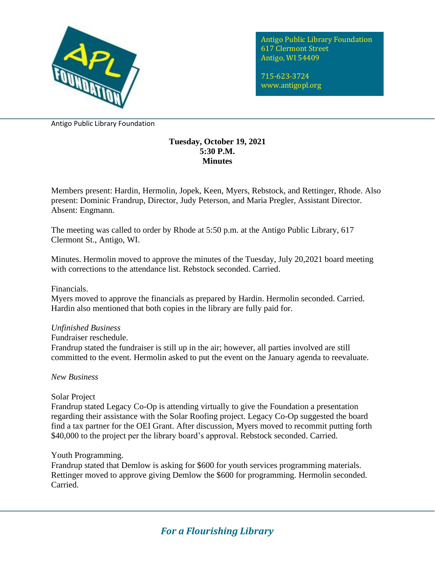

Antigo Public Library Foundation 617 Clermont Street Antigo, WI 54409

715-623-3724 www.antigopl.org

Antigo Public Library Foundation

## **Tuesday, October 19, 2021 5:30 P.M. Minutes**

Members present: Hardin, Hermolin, Jopek, Keen, Myers, Rebstock, and Rettinger, Rhode. Also present: Dominic Frandrup, Director, Judy Peterson, and Maria Pregler, Assistant Director. Absent: Engmann.

The meeting was called to order by Rhode at 5:50 p.m. at the Antigo Public Library, 617 Clermont St., Antigo, WI.

Minutes. Hermolin moved to approve the minutes of the Tuesday, July 20,2021 board meeting with corrections to the attendance list. Rebstock seconded. Carried.

Financials.

Myers moved to approve the financials as prepared by Hardin. Hermolin seconded. Carried. Hardin also mentioned that both copies in the library are fully paid for.

# *Unfinished Business*

Fundraiser reschedule.

Frandrup stated the fundraiser is still up in the air; however, all parties involved are still committed to the event. Hermolin asked to put the event on the January agenda to reevaluate.

*New Business*

Solar Project

Frandrup stated Legacy Co-Op is attending virtually to give the Foundation a presentation regarding their assistance with the Solar Roofing project. Legacy Co-Op suggested the board find a tax partner for the OEI Grant. After discussion, Myers moved to recommit putting forth \$40,000 to the project per the library board's approval. Rebstock seconded. Carried.

# Youth Programming.

Frandrup stated that Demlow is asking for \$600 for youth services programming materials. Rettinger moved to approve giving Demlow the \$600 for programming. Hermolin seconded. Carried.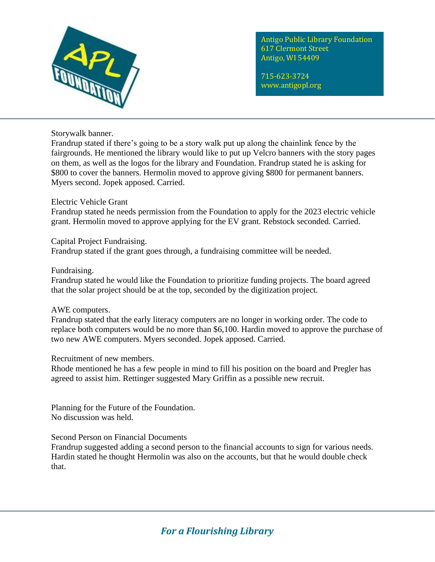

Antigo Public Library Foundation 617 Clermont Street Antigo, WI 54409

715-623-3724 www.antigopl.org

Storywalk banner.

Frandrup stated if there's going to be a story walk put up along the chainlink fence by the fairgrounds. He mentioned the library would like to put up Velcro banners with the story pages on them, as well as the logos for the library and Foundation. Frandrup stated he is asking for \$800 to cover the banners. Hermolin moved to approve giving \$800 for permanent banners. Myers second. Jopek apposed. Carried.

## Electric Vehicle Grant

Frandrup stated he needs permission from the Foundation to apply for the 2023 electric vehicle grant. Hermolin moved to approve applying for the EV grant. Rebstock seconded. Carried.

### Capital Project Fundraising.

Frandrup stated if the grant goes through, a fundraising committee will be needed.

### Fundraising.

Frandrup stated he would like the Foundation to prioritize funding projects. The board agreed that the solar project should be at the top, seconded by the digitization project.

#### AWE computers.

Frandrup stated that the early literacy computers are no longer in working order. The code to replace both computers would be no more than \$6,100. Hardin moved to approve the purchase of two new AWE computers. Myers seconded. Jopek apposed. Carried.

#### Recruitment of new members.

Rhode mentioned he has a few people in mind to fill his position on the board and Pregler has agreed to assist him. Rettinger suggested Mary Griffin as a possible new recruit.

Planning for the Future of the Foundation. No discussion was held.

# Second Person on Financial Documents

Frandrup suggested adding a second person to the financial accounts to sign for various needs. Hardin stated he thought Hermolin was also on the accounts, but that he would double check that.